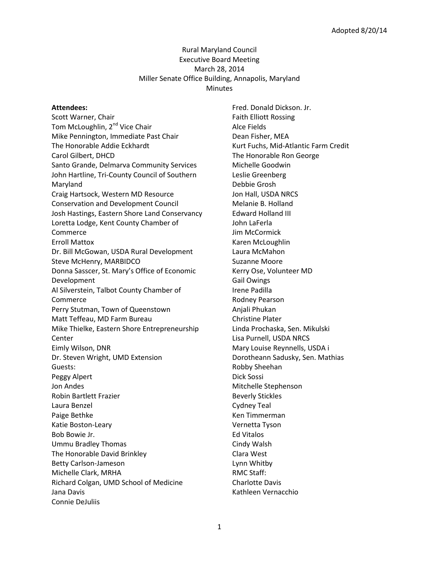# Rural Maryland Council Executive Board Meeting March 28, 2014 Miller Senate Office Building, Annapolis, Maryland **Minutes**

#### **Attendees:**

Scott Warner, Chair Tom McLoughlin, 2<sup>nd</sup> Vice Chair Mike Pennington, Immediate Past Chair The Honorable Addie Eckhardt Carol Gilbert, DHCD Santo Grande, Delmarva Community Services John Hartline, Tri-County Council of Southern Maryland Craig Hartsock, Western MD Resource Conservation and Development Council Josh Hastings, Eastern Shore Land Conservancy Loretta Lodge, Kent County Chamber of Commerce Erroll Mattox Dr. Bill McGowan, USDA Rural Development Steve McHenry, MARBIDCO Donna Sasscer, St. Mary's Office of Economic Development Al Silverstein, Talbot County Chamber of Commerce Perry Stutman, Town of Queenstown Matt Teffeau, MD Farm Bureau Mike Thielke, Eastern Shore Entrepreneurship Center Eimly Wilson, DNR Dr. Steven Wright, UMD Extension Guests: Peggy Alpert Jon Andes Robin Bartlett Frazier Laura Benzel Paige Bethke Katie Boston-Leary Bob Bowie Jr. Ummu Bradley Thomas The Honorable David Brinkley Betty Carlson-Jameson Michelle Clark, MRHA Richard Colgan, UMD School of Medicine Jana Davis Connie DeJuliis

Fred. Donald Dickson. Jr. Faith Elliott Rossing Alce Fields Dean Fisher, MEA Kurt Fuchs, Mid-Atlantic Farm Credit The Honorable Ron George Michelle Goodwin Leslie Greenberg Debbie Grosh Jon Hall, USDA NRCS Melanie B. Holland Edward Holland III John LaFerla Jim McCormick Karen McLoughlin Laura McMahon Suzanne Moore Kerry Ose, Volunteer MD Gail Owings Irene Padilla Rodney Pearson Anjali Phukan Christine Plater Linda Prochaska, Sen. Mikulski Lisa Purnell, USDA NRCS Mary Louise Reynnells, USDA i Dorotheann Sadusky, Sen. Mathias Robby Sheehan Dick Sossi Mitchelle Stephenson Beverly Stickles Cydney Teal Ken Timmerman Vernetta Tyson Ed Vitalos Cindy Walsh Clara West Lynn Whitby RMC Staff: Charlotte Davis Kathleen Vernacchio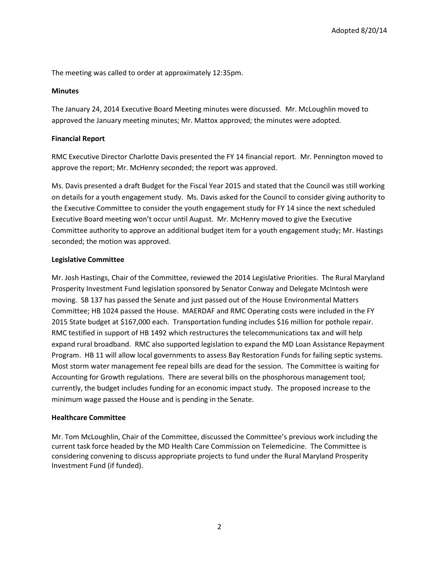The meeting was called to order at approximately 12:35pm.

# **Minutes**

The January 24, 2014 Executive Board Meeting minutes were discussed. Mr. McLoughlin moved to approved the January meeting minutes; Mr. Mattox approved; the minutes were adopted.

# **Financial Report**

RMC Executive Director Charlotte Davis presented the FY 14 financial report. Mr. Pennington moved to approve the report; Mr. McHenry seconded; the report was approved.

Ms. Davis presented a draft Budget for the Fiscal Year 2015 and stated that the Council was still working on details for a youth engagement study. Ms. Davis asked for the Council to consider giving authority to the Executive Committee to consider the youth engagement study for FY 14 since the next scheduled Executive Board meeting won't occur until August. Mr. McHenry moved to give the Executive Committee authority to approve an additional budget item for a youth engagement study; Mr. Hastings seconded; the motion was approved.

# **Legislative Committee**

Mr. Josh Hastings, Chair of the Committee, reviewed the 2014 Legislative Priorities. The Rural Maryland Prosperity Investment Fund legislation sponsored by Senator Conway and Delegate McIntosh were moving. SB 137 has passed the Senate and just passed out of the House Environmental Matters Committee; HB 1024 passed the House. MAERDAF and RMC Operating costs were included in the FY 2015 State budget at \$167,000 each. Transportation funding includes \$16 million for pothole repair. RMC testified in support of HB 1492 which restructures the telecommunications tax and will help expand rural broadband. RMC also supported legislation to expand the MD Loan Assistance Repayment Program. HB 11 will allow local governments to assess Bay Restoration Funds for failing septic systems. Most storm water management fee repeal bills are dead for the session. The Committee is waiting for Accounting for Growth regulations. There are several bills on the phosphorous management tool; currently, the budget includes funding for an economic impact study. The proposed increase to the minimum wage passed the House and is pending in the Senate.

# **Healthcare Committee**

Mr. Tom McLoughlin, Chair of the Committee, discussed the Committee's previous work including the current task force headed by the MD Health Care Commission on Telemedicine. The Committee is considering convening to discuss appropriate projects to fund under the Rural Maryland Prosperity Investment Fund (if funded).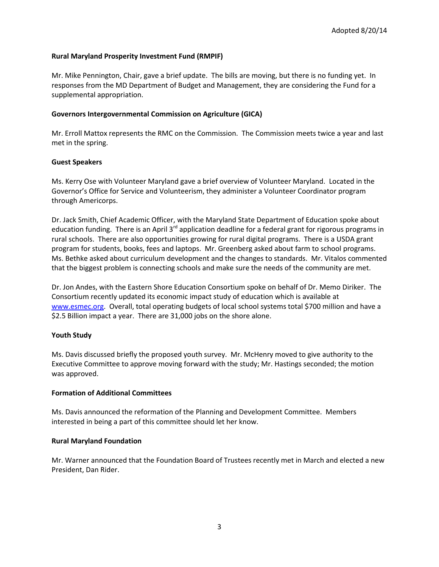# **Rural Maryland Prosperity Investment Fund (RMPIF)**

Mr. Mike Pennington, Chair, gave a brief update. The bills are moving, but there is no funding yet. In responses from the MD Department of Budget and Management, they are considering the Fund for a supplemental appropriation.

#### **Governors Intergovernmental Commission on Agriculture (GICA)**

Mr. Erroll Mattox represents the RMC on the Commission. The Commission meets twice a year and last met in the spring.

### **Guest Speakers**

Ms. Kerry Ose with Volunteer Maryland gave a brief overview of Volunteer Maryland. Located in the Governor's Office for Service and Volunteerism, they administer a Volunteer Coordinator program through Americorps.

Dr. Jack Smith, Chief Academic Officer, with the Maryland State Department of Education spoke about education funding. There is an April  $3<sup>rd</sup>$  application deadline for a federal grant for rigorous programs in rural schools. There are also opportunities growing for rural digital programs. There is a USDA grant program for students, books, fees and laptops. Mr. Greenberg asked about farm to school programs. Ms. Bethke asked about curriculum development and the changes to standards. Mr. Vitalos commented that the biggest problem is connecting schools and make sure the needs of the community are met.

Dr. Jon Andes, with the Eastern Shore Education Consortium spoke on behalf of Dr. Memo Diriker. The Consortium recently updated its economic impact study of education which is available at [www.esmec.org.](http://www.esmec.org/) Overall, total operating budgets of local school systems total \$700 million and have a \$2.5 Billion impact a year. There are 31,000 jobs on the shore alone.

# **Youth Study**

Ms. Davis discussed briefly the proposed youth survey. Mr. McHenry moved to give authority to the Executive Committee to approve moving forward with the study; Mr. Hastings seconded; the motion was approved.

#### **Formation of Additional Committees**

Ms. Davis announced the reformation of the Planning and Development Committee. Members interested in being a part of this committee should let her know.

#### **Rural Maryland Foundation**

Mr. Warner announced that the Foundation Board of Trustees recently met in March and elected a new President, Dan Rider.